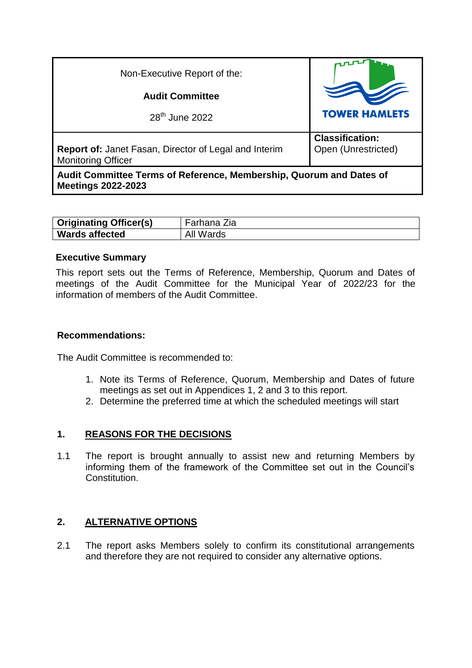| Non-Executive Report of the:                                                                     |                                               |
|--------------------------------------------------------------------------------------------------|-----------------------------------------------|
| <b>Audit Committee</b>                                                                           |                                               |
| $28th$ June 2022                                                                                 | <b>TOWER HAMLETS</b>                          |
| <b>Report of: Janet Fasan, Director of Legal and Interim</b><br><b>Monitoring Officer</b>        | <b>Classification:</b><br>Open (Unrestricted) |
| Audit Committee Terms of Reference, Membership, Quorum and Dates of<br><b>Meetings 2022-2023</b> |                                               |

| <b>Originating Officer(s)</b> | -arhana ∠ia  |
|-------------------------------|--------------|
| <b>Wards affected</b>         | Wards<br>All |

#### **Executive Summary**

This report sets out the Terms of Reference, Membership, Quorum and Dates of meetings of the Audit Committee for the Municipal Year of 2022/23 for the information of members of the Audit Committee.

#### **Recommendations:**

The Audit Committee is recommended to:

- 1. Note its Terms of Reference, Quorum, Membership and Dates of future meetings as set out in Appendices 1, 2 and 3 to this report.
- 2. Determine the preferred time at which the scheduled meetings will start

## **1. REASONS FOR THE DECISIONS**

1.1 The report is brought annually to assist new and returning Members by informing them of the framework of the Committee set out in the Council's Constitution.

## **2. ALTERNATIVE OPTIONS**

2.1 The report asks Members solely to confirm its constitutional arrangements and therefore they are not required to consider any alternative options.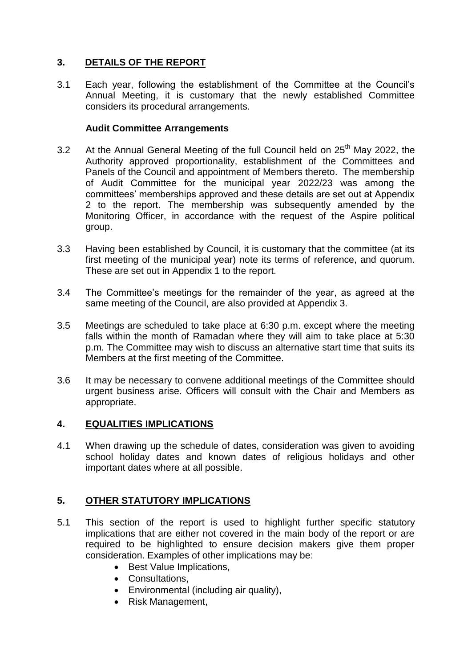## **3. DETAILS OF THE REPORT**

3.1 Each year, following the establishment of the Committee at the Council's Annual Meeting, it is customary that the newly established Committee considers its procedural arrangements.

#### **Audit Committee Arrangements**

- 3.2 At the Annual General Meeting of the full Council held on  $25<sup>th</sup>$  May 2022, the Authority approved proportionality, establishment of the Committees and Panels of the Council and appointment of Members thereto. The membership of Audit Committee for the municipal year 2022/23 was among the committees' memberships approved and these details are set out at Appendix 2 to the report. The membership was subsequently amended by the Monitoring Officer, in accordance with the request of the Aspire political group.
- 3.3 Having been established by Council, it is customary that the committee (at its first meeting of the municipal year) note its terms of reference, and quorum. These are set out in Appendix 1 to the report.
- 3.4 The Committee's meetings for the remainder of the year, as agreed at the same meeting of the Council, are also provided at Appendix 3.
- 3.5 Meetings are scheduled to take place at 6:30 p.m. except where the meeting falls within the month of Ramadan where they will aim to take place at 5:30 p.m. The Committee may wish to discuss an alternative start time that suits its Members at the first meeting of the Committee.
- 3.6 It may be necessary to convene additional meetings of the Committee should urgent business arise. Officers will consult with the Chair and Members as appropriate.

## **4. EQUALITIES IMPLICATIONS**

4.1 When drawing up the schedule of dates, consideration was given to avoiding school holiday dates and known dates of religious holidays and other important dates where at all possible.

## **5. OTHER STATUTORY IMPLICATIONS**

- 5.1 This section of the report is used to highlight further specific statutory implications that are either not covered in the main body of the report or are required to be highlighted to ensure decision makers give them proper consideration. Examples of other implications may be:
	- Best Value Implications,
	- Consultations.
	- Environmental (including air quality),
	- Risk Management,